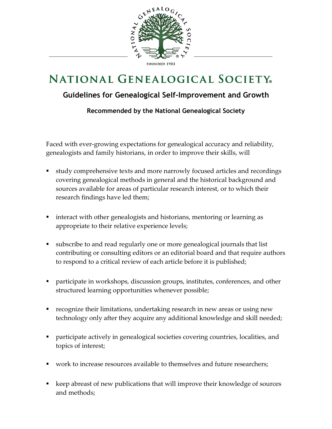

## **NATIONAL GENEALOGICAL SOCIETY**

## **Guidelines for Genealogical Self-Improvement and Growth**

**Recommended by the National Genealogical Society**

Faced with ever-growing expectations for genealogical accuracy and reliability, genealogists and family historians, in order to improve their skills, will

- study comprehensive texts and more narrowly focused articles and recordings covering genealogical methods in general and the historical background and sources available for areas of particular research interest, or to which their research findings have led them;
- interact with other genealogists and historians, mentoring or learning as appropriate to their relative experience levels;
- subscribe to and read regularly one or more genealogical journals that list contributing or consulting editors or an editorial board and that require authors to respond to a critical review of each article before it is published;
- participate in workshops, discussion groups, institutes, conferences, and other structured learning opportunities whenever possible;
- recognize their limitations, undertaking research in new areas or using new technology only after they acquire any additional knowledge and skill needed;
- participate actively in genealogical societies covering countries, localities, and topics of interest;
- work to increase resources available to themselves and future researchers;
- keep abreast of new publications that will improve their knowledge of sources and methods;